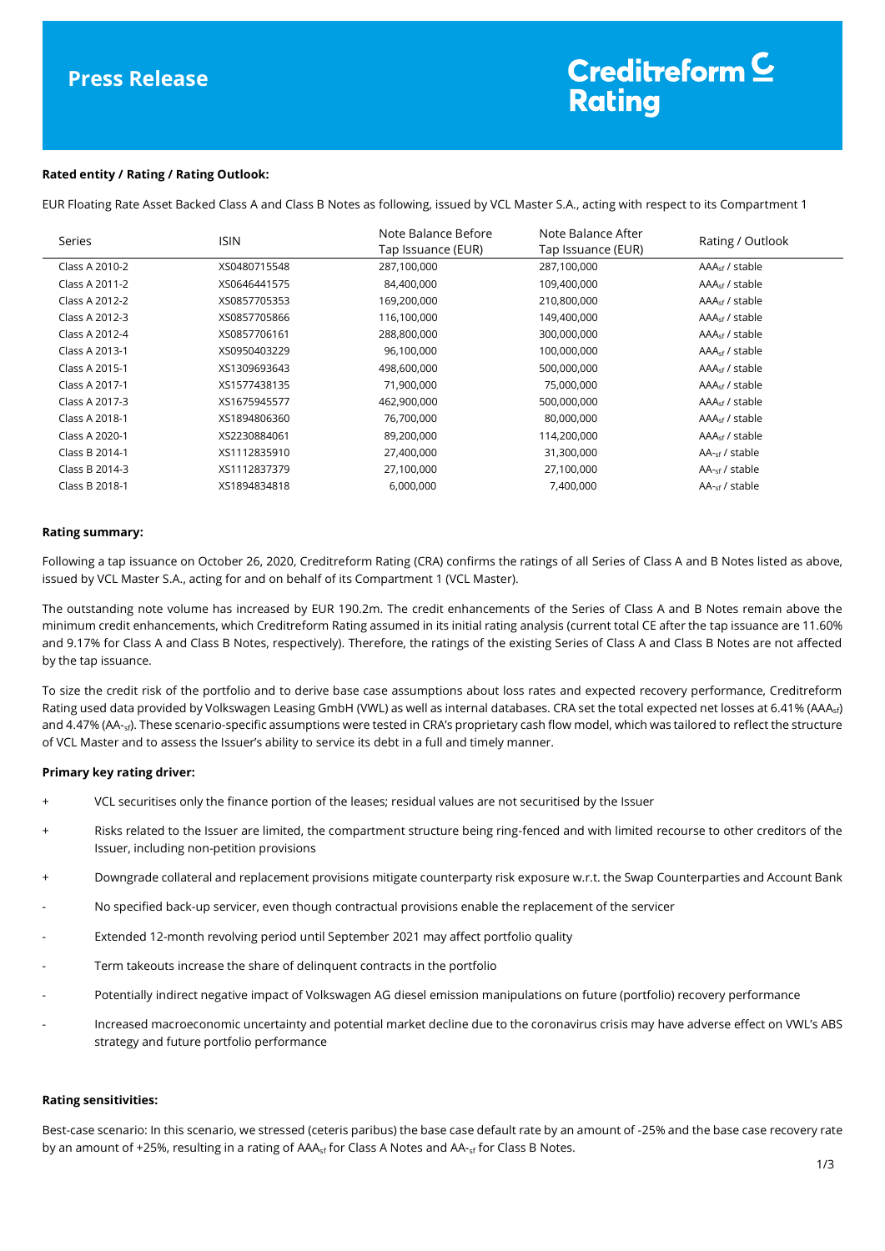# Creditreform<sup>C</sup> **Rating**

#### **Rated entity / Rating / Rating Outlook:**

EUR Floating Rate Asset Backed Class A and Class B Notes as following, issued by VCL Master S.A., acting with respect to its Compartment 1

| Series         | <b>ISIN</b>  | Note Balance Before<br>Tap Issuance (EUR) | Note Balance After<br>Tap Issuance (EUR) | Rating / Outlook           |
|----------------|--------------|-------------------------------------------|------------------------------------------|----------------------------|
| Class A 2010-2 | XS0480715548 | 287,100,000                               | 287,100,000                              | $AAAsf$ / stable           |
| Class A 2011-2 | XS0646441575 | 84,400,000                                | 109,400,000                              | $AAAsf$ / stable           |
| Class A 2012-2 | XS0857705353 | 169,200,000                               | 210,800,000                              | AAA <sub>sf</sub> / stable |
| Class A 2012-3 | XS0857705866 | 116,100,000                               | 149,400,000                              | AAA <sub>sf</sub> / stable |
| Class A 2012-4 | XS0857706161 | 288,800,000                               | 300,000,000                              | $AAAsf$ / stable           |
| Class A 2013-1 | XS0950403229 | 96,100,000                                | 100,000,000                              | AAA <sub>sf</sub> / stable |
| Class A 2015-1 | XS1309693643 | 498,600,000                               | 500,000,000                              | $AAAsf$ / stable           |
| Class A 2017-1 | XS1577438135 | 71,900,000                                | 75,000,000                               | AAA <sub>sf</sub> / stable |
| Class A 2017-3 | XS1675945577 | 462,900,000                               | 500,000,000                              | $AAAsf$ / stable           |
| Class A 2018-1 | XS1894806360 | 76,700,000                                | 80,000,000                               | AAA <sub>sf</sub> / stable |
| Class A 2020-1 | XS2230884061 | 89,200,000                                | 114,200,000                              | $AAAsf$ / stable           |
| Class B 2014-1 | XS1112835910 | 27,400,000                                | 31,300,000                               | $AA_{\text{sf}}$ / stable  |
| Class B 2014-3 | XS1112837379 | 27,100,000                                | 27,100,000                               | $AA_{\text{sf}}$ / stable  |
| Class B 2018-1 | XS1894834818 | 6,000,000                                 | 7,400,000                                | AA- <sub>sf</sub> / stable |

#### **Rating summary:**

Following a tap issuance on October 26, 2020, Creditreform Rating (CRA) confirms the ratings of all Series of Class A and B Notes listed as above, issued by VCL Master S.A., acting for and on behalf of its Compartment 1 (VCL Master).

The outstanding note volume has increased by EUR 190.2m. The credit enhancements of the Series of Class A and B Notes remain above the minimum credit enhancements, which Creditreform Rating assumed in its initial rating analysis (current total CE after the tap issuance are 11.60% and 9.17% for Class A and Class B Notes, respectively). Therefore, the ratings of the existing Series of Class A and Class B Notes are not affected by the tap issuance.

To size the credit risk of the portfolio and to derive base case assumptions about loss rates and expected recovery performance, Creditreform Rating used data provided by Volkswagen Leasing GmbH (VWL) as well as internal databases. CRA set the total expected net losses at 6.41% (AAA<sub>sf</sub>) and 4.47% (AA-<sub>sf</sub>). These scenario-specific assumptions were tested in CRA's proprietary cash flow model, which was tailored to reflect the structure of VCL Master and to assess the Issuer's ability to service its debt in a full and timely manner.

#### **Primary key rating driver:**

- VCL securitises only the finance portion of the leases; residual values are not securitised by the Issuer
- + Risks related to the Issuer are limited, the compartment structure being ring-fenced and with limited recourse to other creditors of the Issuer, including non-petition provisions
- + Downgrade collateral and replacement provisions mitigate counterparty risk exposure w.r.t. the Swap Counterparties and Account Bank
- No specified back-up servicer, even though contractual provisions enable the replacement of the servicer
- Extended 12-month revolving period until September 2021 may affect portfolio quality
- Term takeouts increase the share of delinquent contracts in the portfolio
- Potentially indirect negative impact of Volkswagen AG diesel emission manipulations on future (portfolio) recovery performance
- Increased macroeconomic uncertainty and potential market decline due to the coronavirus crisis may have adverse effect on VWL's ABS strategy and future portfolio performance

#### **Rating sensitivities:**

Best-case scenario: In this scenario, we stressed (ceteris paribus) the base case default rate by an amount of -25% and the base case recovery rate by an amount of +25%, resulting in a rating of AAA<sub>sf</sub> for Class A Notes and AA-<sub>sf</sub> for Class B Notes.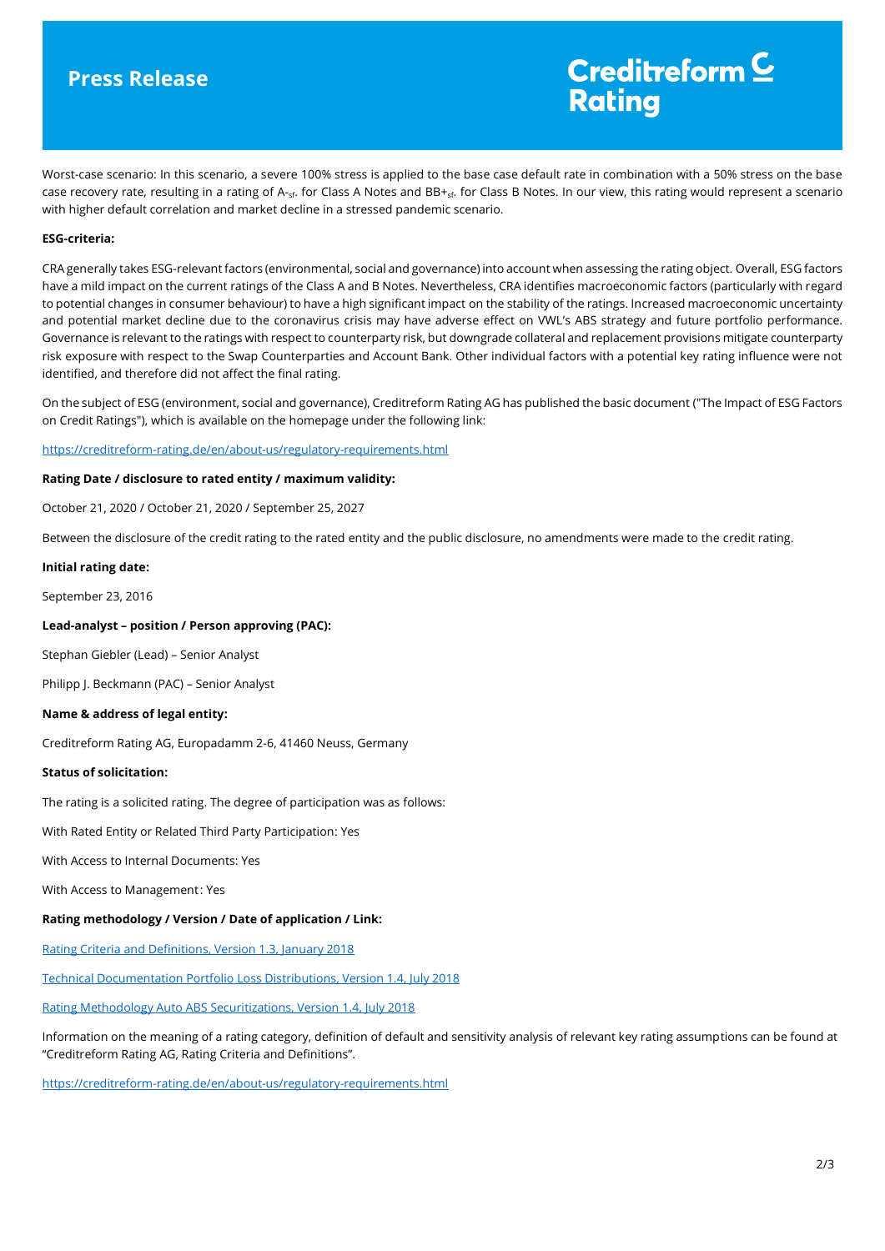## **Press Release**

# Creditreform  $\subseteq$ **Rating**

Worst-case scenario: In this scenario, a severe 100% stress is applied to the base case default rate in combination with a 50% stress on the base case recovery rate, resulting in a rating of A-sf. for Class A Notes and BB+sf. for Class B Notes. In our view, this rating would represent a scenario with higher default correlation and market decline in a stressed pandemic scenario.

### **ESG-criteria:**

CRA generally takes ESG-relevant factors (environmental, social and governance) into account when assessing the rating object. Overall, ESG factors have a mild impact on the current ratings of the Class A and B Notes. Nevertheless, CRA identifies macroeconomic factors (particularly with regard to potential changes in consumer behaviour) to have a high significant impact on the stability of the ratings. Increased macroeconomic uncertainty and potential market decline due to the coronavirus crisis may have adverse effect on VWL's ABS strategy and future portfolio performance. Governance is relevant to the ratings with respect to counterparty risk, but downgrade collateral and replacement provisions mitigate counterparty risk exposure with respect to the Swap Counterparties and Account Bank. Other individual factors with a potential key rating influence were not identified, and therefore did not affect the final rating.

On the subject of ESG (environment, social and governance), Creditreform Rating AG has published the basic document ("The Impact of ESG Factors on Credit Ratings"), which is available on the homepage under the following link:

<https://creditreform-rating.de/en/about-us/regulatory-requirements.html>

#### **Rating Date / disclosure to rated entity / maximum validity:**

October 21, 2020 / October 21, 2020 / September 25, 2027

Between the disclosure of the credit rating to the rated entity and the public disclosure, no amendments were made to the credit rating.

#### **Initial rating date:**

September 23, 2016

### **Lead-analyst – position / Person approving (PAC):**

Stephan Giebler (Lead) – Senior Analyst

Philipp J. Beckmann (PAC) – Senior Analyst

#### **Name & address of legal entity:**

Creditreform Rating AG, Europadamm 2-6, 41460 Neuss, Germany

#### **Status of solicitation:**

The rating is a solicited rating. The degree of participation was as follows:

With Rated Entity or Related Third Party Participation: Yes

With Access to Internal Documents: Yes

With Access to Management: Yes

### **Rating methodology / Version / Date of application / Link:**

[Rating Criteria and Definitions, Version 1.3, January 2018](https://creditreform-rating.de/en/about-us/regulatory-requirements.html?file=files/content/downloads/Externes%20Rating/Regulatorische%20Anforderungen/EN/Ratingmethodiken%20EN/CRAG%20Rating%20Criteria%20and%20Definitions.pdf)

[Technical Documentation Portfolio Loss Distributions, Version 1.4, July 2018](https://creditreform-rating.de/en/about-us/regulatory-requirements.html?file=files/content/downloads/Externes%20Rating/Regulatorische%20Anforderungen/EN/Ratingmethodiken%20EN/Technical%20Documentation%20Portfolio%20Loss%20Distributions.pdf)

[Rating Methodology Auto ABS Securitizations, Version 1.4, July 2018](https://creditreform-rating.de/en/about-us/regulatory-requirements.html?file=files/content/downloads/Externes%20Rating/Regulatorische%20Anforderungen/EN/Ratingmethodiken%20EN/Rating%20Methodology%20Auto%20ABS%20Securitizations.pdf)

Information on the meaning of a rating category, definition of default and sensitivity analysis of relevant key rating assumptions can be found at "Creditreform Rating AG, Rating Criteria and Definitions".

[https://creditreform-rating.de/en/about-us/regulatory-requirements.html](https://www.creditreform-rating.de/en/about-us/regulatory-requirements.html)